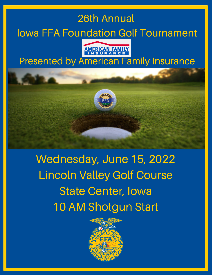# 26th Annual Iowa FFA Foundation Golf Tournament



### Presented by American Family Insurance



Wednesday, June 15, 2022 Lincoln Valley Golf Course State Center, Iowa 10 AM Shotgun Start

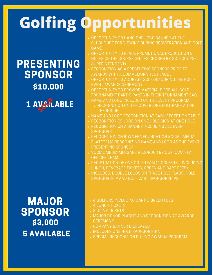# **Golfing Opportunities**

OPPORTUNITY TO HANG ONE LOGO BANNER AT THE CLUBHOUSE FOR VIEWING DURING REGISTRATION AND GOLF GAME

- OPPORTUNITY TO PLACE PROMOTIONAL PRODUCT ON 3 HOLES OF THE COURSE (HOLES CHOSEN BY GOLFCOURSE SUPERINTENDENT)
- RECOGNITION AS A PRESENTING SPONSOR PRIOR TO AWARDS WITH A COMMEMORATIVE PLAQUE
- OPPORTUNITY TO ADDRESS GOLFERS DURING THE POST-EVENT AWARDS CEREMONY
- . OPPORTUNITY TO PROVIDE MATERIALS FOR ALL GOLF TOURNAMENT PARTICIPANTS IN THEIR TOURNAMENT BAG.
- . NAME AND LOGO INCLUDED ON THE EVENT PROGRAM
	- RECOGNITION ON THE COVER ,ONE FULL PAGE AD ON THE INSIDE
- . NAME AND LOGO RECOGNITION AT EACH RECEPTION TABLE
- **RECOGNITION OF LOGO ON ONE HOLE SIGN AT ONE HOLE**
- . RECOGNITION ON A BANNER INCLUDING ALL EVENT **SPONSORS**
- RECOGNITION ON IOWA FFA FOUNDATION SOCIAL MEDIA PLATFORMS RECOGNIZING NAME AND LOGO AS THE EVENT PRESENTING SPONSOR
- **. SOCIAL MEDIA MESSAGE RECORDED BY OUR IOWA FFA** OFFICER TEAM
- REGISTRATION OF ONE GOLF TEAM (4 GOLFERS INCLUDING LUNCH, BEVERAGE TICKETS, GREEN AND CART FEES)
- . INCLUDES: DOUBLE LOGOS ON THREE HOLE FLAGS, HOLE SPONSORSHIP AND GOLF CART SPONSORSHIPS
- \$3,000 MAJOR SPONSOR **5 AVAILABLE**

PRESENTING

SPONSOR

\$10,000

1 AVSLABLE

- 4 GOLFERS INCLUDING CART & GREEN FEES
- 4 LUNCH TICKETS
- . 8 DRINK TICKETS
- MAJOR DONOR PLAQUE AND RECOGNITION AT AWARDS **CEREMONY**
- COMPANY BANNER DISPLAYED
- 
- INCLUDES ONE HOLE SPONSOR SIGN<br>SPECIAL RECOGNITION DURING AWARDS PROGRAM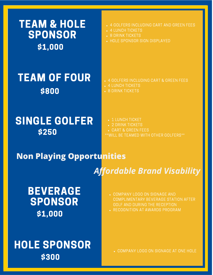\$1,000 TEAM & HOLE SPONSOR

# TEAM OF FOUR **A GOLFERS INCLUDING CART & GREEN FEES** \$800

## SINGLE GOLFER \$250

- 4 GOLFERS INCLUDING CART AND GREEN FEES
- 4 LUNCH TICKETS
- 8 DRINK TICKETS
- HOLE SPONSOR SIGN DISPLAYED

- 4 LUNCH TICKETS
- . 8 DRINK TICKETS
	- 1 LUNCH TICKET
	- 2 DRINK TICKETS
	- CART & GREEN FEES
- \*\*WILL BE TEAMED WITH OTHER GOLFERS\*\*

### **Non Playing Opportunities**

*Affordable Brand Visability*

BEVERAGE SPONSOR \$1,000

- COMPANY LOGO ON SIGNAGE AND COMPLIMENTARY BEVERAGE STATION AFTER GOLF AND DURING THE RECEPTION
- . RECOGNITION AT AWARDS PROGRAM

HOLE SPONSOR \$300

COMPANY LOGO ON SIGNAGE AT ONE HOLE